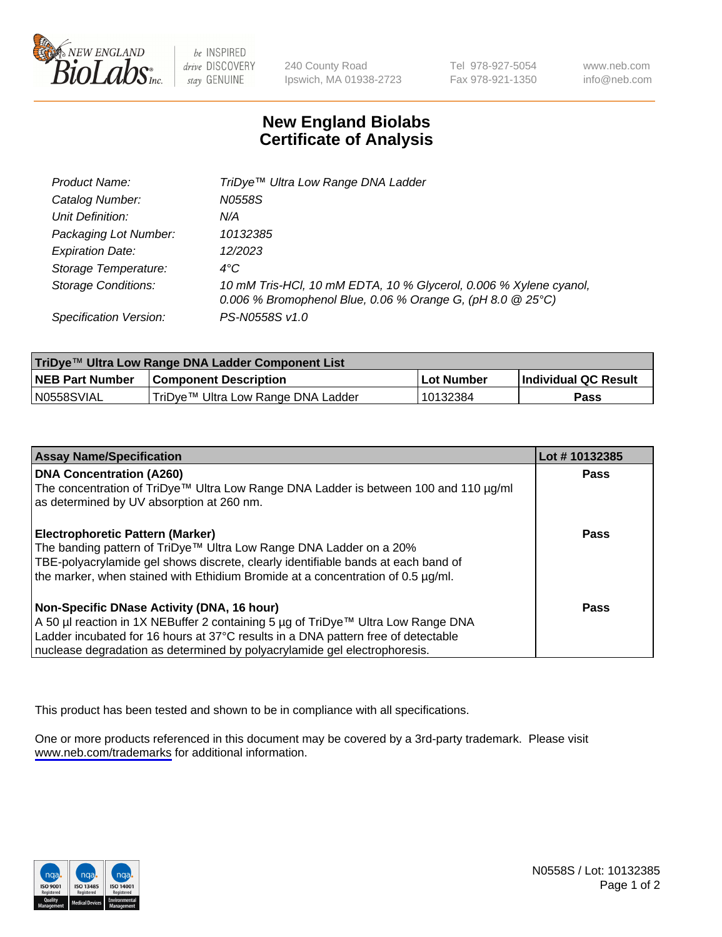

be INSPIRED drive DISCOVERY stay GENUINE

240 County Road Ipswich, MA 01938-2723 Tel 978-927-5054 Fax 978-921-1350

www.neb.com info@neb.com

## **New England Biolabs Certificate of Analysis**

| Product Name:              | TriDye <sup>™</sup> Ultra Low Range DNA Ladder                                                                                    |
|----------------------------|-----------------------------------------------------------------------------------------------------------------------------------|
| Catalog Number:            | N0558S                                                                                                                            |
| Unit Definition:           | N/A                                                                                                                               |
| Packaging Lot Number:      | 10132385                                                                                                                          |
| <b>Expiration Date:</b>    | 12/2023                                                                                                                           |
| Storage Temperature:       | $4^{\circ}$ C                                                                                                                     |
| <b>Storage Conditions:</b> | 10 mM Tris-HCl, 10 mM EDTA, 10 % Glycerol, 0.006 % Xylene cyanol,<br>0.006 % Bromophenol Blue, 0.06 % Orange G, (pH 8.0 $@25°C$ ) |
| Specification Version:     | PS-N0558S v1.0                                                                                                                    |

| TriDye™ Ultra Low Range DNA Ladder Component List |                                      |            |                      |  |
|---------------------------------------------------|--------------------------------------|------------|----------------------|--|
| <b>NEB Part Number</b>                            | <b>Component Description</b>         | Lot Number | Individual QC Result |  |
| N0558SVIAL                                        | I TriDye™ Ultra Low Range DNA Ladder | 10132384   | Pass                 |  |

| <b>Assay Name/Specification</b>                                                                                         | Lot #10132385 |
|-------------------------------------------------------------------------------------------------------------------------|---------------|
| <b>DNA Concentration (A260)</b><br>The concentration of TriDye™ Ultra Low Range DNA Ladder is between 100 and 110 µg/ml | <b>Pass</b>   |
| as determined by UV absorption at 260 nm.                                                                               |               |
| <b>Electrophoretic Pattern (Marker)</b>                                                                                 | <b>Pass</b>   |
| The banding pattern of TriDye™ Ultra Low Range DNA Ladder on a 20%                                                      |               |
| TBE-polyacrylamide gel shows discrete, clearly identifiable bands at each band of                                       |               |
| the marker, when stained with Ethidium Bromide at a concentration of 0.5 µg/ml.                                         |               |
| Non-Specific DNase Activity (DNA, 16 hour)                                                                              | <b>Pass</b>   |
| A 50 µl reaction in 1X NEBuffer 2 containing 5 µg of TriDye™ Ultra Low Range DNA                                        |               |
| Ladder incubated for 16 hours at 37°C results in a DNA pattern free of detectable                                       |               |
| nuclease degradation as determined by polyacrylamide gel electrophoresis.                                               |               |

This product has been tested and shown to be in compliance with all specifications.

One or more products referenced in this document may be covered by a 3rd-party trademark. Please visit <www.neb.com/trademarks>for additional information.